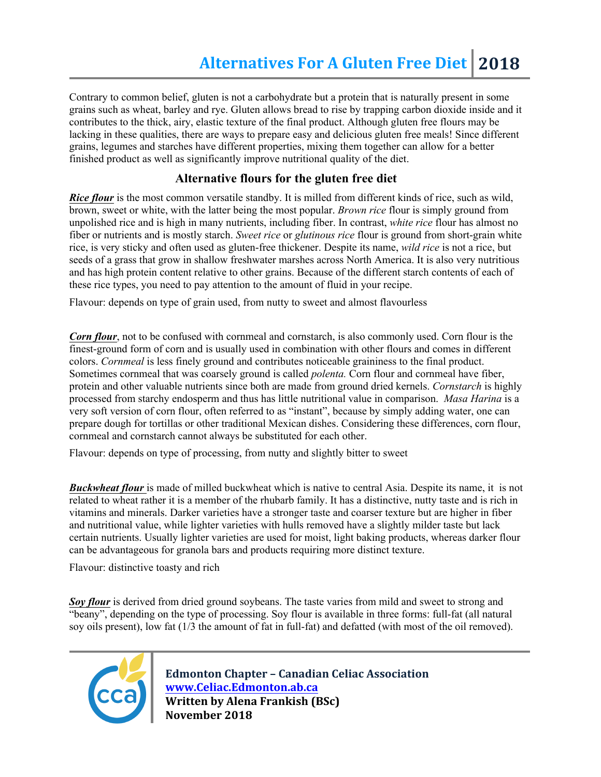Contrary to common belief, gluten is not a carbohydrate but a protein that is naturally present in some grains such as wheat, barley and rye. Gluten allows bread to rise by trapping carbon dioxide inside and it contributes to the thick, airy, elastic texture of the final product. Although gluten free flours may be lacking in these qualities, there are ways to prepare easy and delicious gluten free meals! Since different grains, legumes and starches have different properties, mixing them together can allow for a better finished product as well as significantly improve nutritional quality of the diet.

## **Alternative flours for the gluten free diet**

*Rice flour* is the most common versatile standby. It is milled from different kinds of rice, such as wild, brown, sweet or white, with the latter being the most popular. *Brown rice* flour is simply ground from unpolished rice and is high in many nutrients, including fiber. In contrast, *white rice* flour has almost no fiber or nutrients and is mostly starch. *Sweet rice* or *glutinous rice* flour is ground from short-grain white rice, is very sticky and often used as gluten-free thickener. Despite its name, *wild rice* is not a rice, but seeds of a grass that grow in shallow freshwater marshes across North America. It is also very nutritious and has high protein content relative to other grains. Because of the different starch contents of each of these rice types, you need to pay attention to the amount of fluid in your recipe.

Flavour: depends on type of grain used, from nutty to sweet and almost flavourless

*Corn flour*, not to be confused with cornmeal and cornstarch, is also commonly used. Corn flour is the finest-ground form of corn and is usually used in combination with other flours and comes in different colors. *Cornmeal* is less finely ground and contributes noticeable graininess to the final product. Sometimes cornmeal that was coarsely ground is called *polenta.* Corn flour and cornmeal have fiber, protein and other valuable nutrients since both are made from ground dried kernels. *Cornstarch* is highly processed from starchy endosperm and thus has little nutritional value in comparison. *Masa Harina* is a very soft version of corn flour, often referred to as "instant", because by simply adding water, one can prepare dough for tortillas or other traditional Mexican dishes. Considering these differences, corn flour, cornmeal and cornstarch cannot always be substituted for each other.

Flavour: depends on type of processing, from nutty and slightly bitter to sweet

*Buckwheat flour* is made of milled buckwheat which is native to central Asia. Despite its name, it is not related to wheat rather it is a member of the rhubarb family. It has a distinctive, nutty taste and is rich in vitamins and minerals. Darker varieties have a stronger taste and coarser texture but are higher in fiber and nutritional value, while lighter varieties with hulls removed have a slightly milder taste but lack certain nutrients. Usually lighter varieties are used for moist, light baking products, whereas darker flour can be advantageous for granola bars and products requiring more distinct texture.

Flavour: distinctive toasty and rich

**Soy flour** is derived from dried ground soybeans. The taste varies from mild and sweet to strong and "beany", depending on the type of processing. Soy flour is available in three forms: full-fat (all natural soy oils present), low fat (1/3 the amount of fat in full-fat) and defatted (with most of the oil removed).

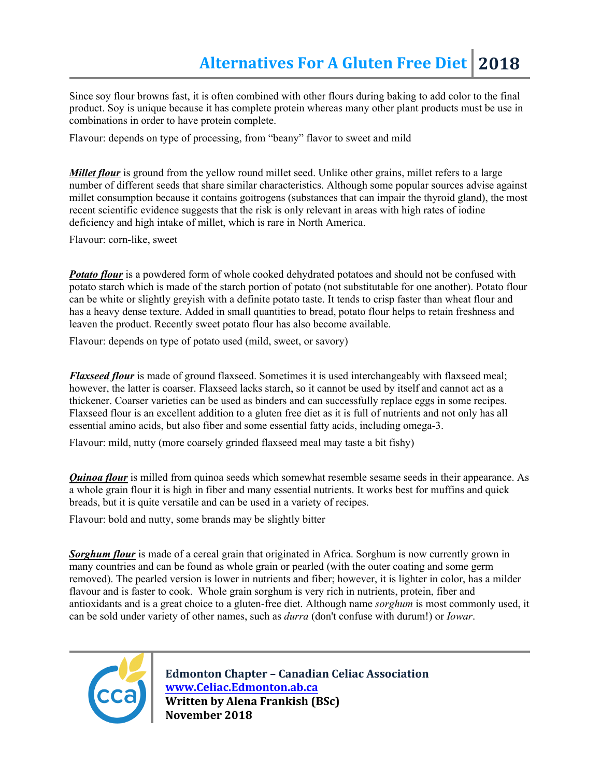Since soy flour browns fast, it is often combined with other flours during baking to add color to the final product. Soy is unique because it has complete protein whereas many other plant products must be use in combinations in order to have protein complete.

Flavour: depends on type of processing, from "beany" flavor to sweet and mild

*Millet flour* is ground from the yellow round millet seed. Unlike other grains, millet refers to a large number of different seeds that share similar characteristics. Although some popular sources advise against millet consumption because it contains goitrogens (substances that can impair the thyroid gland), the most recent scientific evidence suggests that the risk is only relevant in areas with high rates of iodine deficiency and high intake of millet, which is rare in North America.

Flavour: corn-like, sweet

*Potato flour* is a powdered form of whole cooked dehydrated potatoes and should not be confused with potato starch which is made of the starch portion of potato (not substitutable for one another). Potato flour can be white or slightly greyish with a definite potato taste. It tends to crisp faster than wheat flour and has a heavy dense texture. Added in small quantities to bread, potato flour helps to retain freshness and leaven the product. Recently sweet potato flour has also become available.

Flavour: depends on type of potato used (mild, sweet, or savory)

*Flaxseed flour* is made of ground flaxseed. Sometimes it is used interchangeably with flaxseed meal; however, the latter is coarser. Flaxseed lacks starch, so it cannot be used by itself and cannot act as a thickener. Coarser varieties can be used as binders and can successfully replace eggs in some recipes. Flaxseed flour is an excellent addition to a gluten free diet as it is full of nutrients and not only has all essential amino acids, but also fiber and some essential fatty acids, including omega-3.

Flavour: mild, nutty (more coarsely grinded flaxseed meal may taste a bit fishy)

*Quinoa flour* is milled from quinoa seeds which somewhat resemble sesame seeds in their appearance. As a whole grain flour it is high in fiber and many essential nutrients. It works best for muffins and quick breads, but it is quite versatile and can be used in a variety of recipes.

Flavour: bold and nutty, some brands may be slightly bitter

**Sorghum flour** is made of a cereal grain that originated in Africa. Sorghum is now currently grown in many countries and can be found as whole grain or pearled (with the outer coating and some germ removed). The pearled version is lower in nutrients and fiber; however, it is lighter in color, has a milder flavour and is faster to cook. Whole grain sorghum is very rich in nutrients, protein, fiber and antioxidants and is a great choice to a gluten-free diet. Although name *sorghum* is most commonly used, it can be sold under variety of other names, such as *durra* (don't confuse with durum!) or *Iowar*.

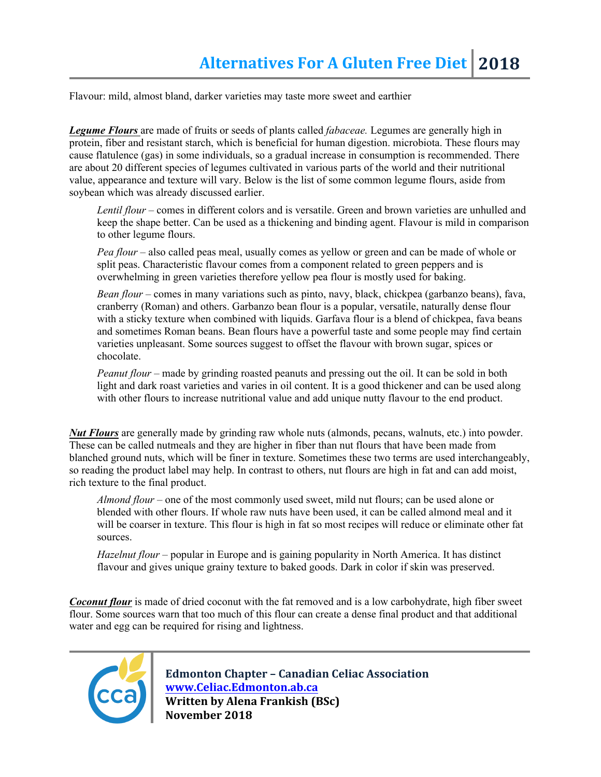Flavour: mild, almost bland, darker varieties may taste more sweet and earthier

*Legume Flours* are made of fruits or seeds of plants called *fabaceae.* Legumes are generally high in protein, fiber and resistant starch, which is beneficial for human digestion. microbiota. These flours may cause flatulence (gas) in some individuals, so a gradual increase in consumption is recommended. There are about 20 different species of legumes cultivated in various parts of the world and their nutritional value, appearance and texture will vary. Below is the list of some common legume flours, aside from soybean which was already discussed earlier.

*Lentil flour –* comes in different colors and is versatile. Green and brown varieties are unhulled and keep the shape better. Can be used as a thickening and binding agent. Flavour is mild in comparison to other legume flours.

*Pea flour* – also called peas meal, usually comes as yellow or green and can be made of whole or split peas. Characteristic flavour comes from a component related to green peppers and is overwhelming in green varieties therefore yellow pea flour is mostly used for baking.

*Bean flour –* comes in many variations such as pinto, navy, black, chickpea (garbanzo beans), fava, cranberry (Roman) and others. Garbanzo bean flour is a popular, versatile, naturally dense flour with a sticky texture when combined with liquids. Garfava flour is a blend of chickpea, fava beans and sometimes Roman beans. Bean flours have a powerful taste and some people may find certain varieties unpleasant. Some sources suggest to offset the flavour with brown sugar, spices or chocolate.

*Peanut flour –* made by grinding roasted peanuts and pressing out the oil. It can be sold in both light and dark roast varieties and varies in oil content. It is a good thickener and can be used along with other flours to increase nutritional value and add unique nutty flavour to the end product.

*Nut Flours* are generally made by grinding raw whole nuts (almonds, pecans, walnuts, etc.) into powder. These can be called nutmeals and they are higher in fiber than nut flours that have been made from blanched ground nuts, which will be finer in texture. Sometimes these two terms are used interchangeably, so reading the product label may help. In contrast to others, nut flours are high in fat and can add moist, rich texture to the final product.

*Almond flour* – one of the most commonly used sweet, mild nut flours; can be used alone or blended with other flours. If whole raw nuts have been used, it can be called almond meal and it will be coarser in texture. This flour is high in fat so most recipes will reduce or eliminate other fat sources.

*Hazelnut flour* – popular in Europe and is gaining popularity in North America. It has distinct flavour and gives unique grainy texture to baked goods. Dark in color if skin was preserved.

*Coconut flour* is made of dried coconut with the fat removed and is a low carbohydrate, high fiber sweet flour. Some sources warn that too much of this flour can create a dense final product and that additional water and egg can be required for rising and lightness.

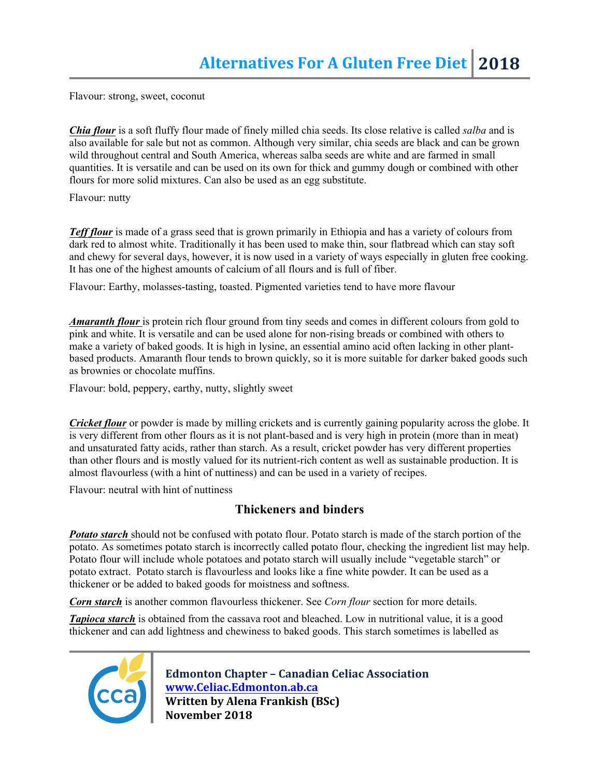Flavour: strong, sweet, coconut

*Chia flour* is a soft fluffy flour made of finely milled chia seeds. Its close relative is called *salba* and is also available for sale but not as common. Although very similar, chia seeds are black and can be grown wild throughout central and South America, whereas salba seeds are white and are farmed in small quantities. It is versatile and can be used on its own for thick and gummy dough or combined with other flours for more solid mixtures. Can also be used as an egg substitute.

Flavour: nutty

*Teff flour* is made of a grass seed that is grown primarily in Ethiopia and has a variety of colours from dark red to almost white. Traditionally it has been used to make thin, sour flatbread which can stay soft and chewy for several days, however, it is now used in a variety of ways especially in gluten free cooking. It has one of the highest amounts of calcium of all flours and is full of fiber.

Flavour: Earthy, molasses-tasting, toasted. Pigmented varieties tend to have more flavour

*Amaranth flour* is protein rich flour ground from tiny seeds and comes in different colours from gold to pink and white. It is versatile and can be used alone for non-rising breads or combined with others to make a variety of baked goods. It is high in lysine, an essential amino acid often lacking in other plantbased products. Amaranth flour tends to brown quickly, so it is more suitable for darker baked goods such as brownies or chocolate muffins.

Flavour: bold, peppery, earthy, nutty, slightly sweet

*Cricket flour* or powder is made by milling crickets and is currently gaining popularity across the globe. It is very different from other flours as it is not plant-based and is very high in protein (more than in meat) and unsaturated fatty acids, rather than starch. As a result, cricket powder has very different properties than other flours and is mostly valued for its nutrient-rich content as well as sustainable production. It is almost flavourless (with a hint of nuttiness) and can be used in a variety of recipes.

Flavour: neutral with hint of nuttiness

## **Thickeners and binders**

*Potato starch* should not be confused with potato flour. Potato starch is made of the starch portion of the potato. As sometimes potato starch is incorrectly called potato flour, checking the ingredient list may help. Potato flour will include whole potatoes and potato starch will usually include "vegetable starch" or potato extract. Potato starch is flavourless and looks like a fine white powder. It can be used as a thickener or be added to baked goods for moistness and softness.

*Corn starch* is another common flavourless thickener. See *Corn flour* section for more details.

*Tapioca starch* is obtained from the cassava root and bleached. Low in nutritional value, it is a good thickener and can add lightness and chewiness to baked goods. This starch sometimes is labelled as

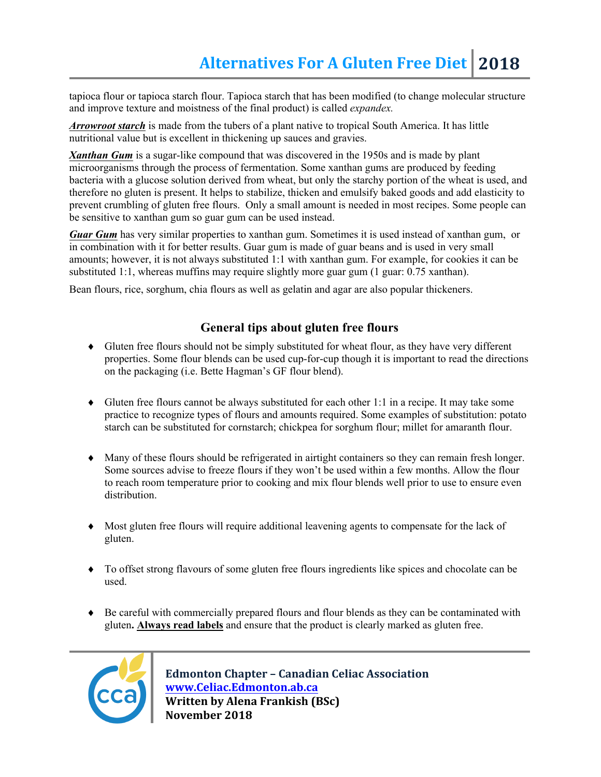tapioca flour or tapioca starch flour. Tapioca starch that has been modified (to change molecular structure and improve texture and moistness of the final product) is called *expandex.*

*Arrowroot starch* is made from the tubers of a plant native to tropical South America. It has little nutritional value but is excellent in thickening up sauces and gravies.

*Xanthan Gum* is a sugar-like compound that was discovered in the 1950s and is made by plant microorganisms through the process of fermentation. Some xanthan gums are produced by feeding bacteria with a glucose solution derived from wheat, but only the starchy portion of the wheat is used, and therefore no gluten is present. It helps to stabilize, thicken and emulsify baked goods and add elasticity to prevent crumbling of gluten free flours. Only a small amount is needed in most recipes. Some people can be sensitive to xanthan gum so guar gum can be used instead.

*Guar Gum* has very similar properties to xanthan gum. Sometimes it is used instead of xanthan gum, or in combination with it for better results. Guar gum is made of guar beans and is used in very small amounts; however, it is not always substituted 1:1 with xanthan gum. For example, for cookies it can be substituted 1:1, whereas muffins may require slightly more guar gum (1 guar: 0.75 xanthan).

Bean flours, rice, sorghum, chia flours as well as gelatin and agar are also popular thickeners.

## **General tips about gluten free flours**

- Gluten free flours should not be simply substituted for wheat flour, as they have very different properties. Some flour blends can be used cup-for-cup though it is important to read the directions on the packaging (i.e. Bette Hagman's GF flour blend).
- $\bullet$  Gluten free flours cannot be always substituted for each other 1:1 in a recipe. It may take some practice to recognize types of flours and amounts required. Some examples of substitution: potato starch can be substituted for cornstarch; chickpea for sorghum flour; millet for amaranth flour.
- Many of these flours should be refrigerated in airtight containers so they can remain fresh longer. Some sources advise to freeze flours if they won't be used within a few months. Allow the flour to reach room temperature prior to cooking and mix flour blends well prior to use to ensure even distribution.
- Most gluten free flours will require additional leavening agents to compensate for the lack of gluten.
- To offset strong flavours of some gluten free flours ingredients like spices and chocolate can be used.
- Be careful with commercially prepared flours and flour blends as they can be contaminated with gluten**. Always read labels** and ensure that the product is clearly marked as gluten free.